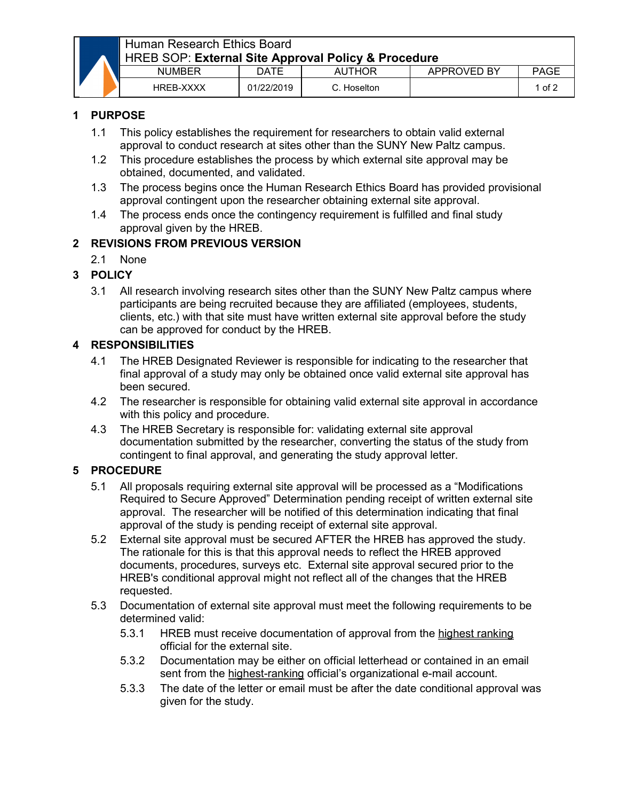

# Human Research Ethics Board HREB SOP: **External Site Approval Policy & Procedure**

| <b>NUMBER</b>    | DATE       | 'THOR<br>Aυ | APPROVED BY | PAGE   |  |
|------------------|------------|-------------|-------------|--------|--|
| <b>HREB-XXXX</b> | 01/22/2019 | Hoselton    |             | 1 of 2 |  |

### **1 PURPOSE**

- 1.1 This policy establishes the requirement for researchers to obtain valid external approval to conduct research at sites other than the SUNY New Paltz campus.
- 1.2 This procedure establishes the process by which external site approval may be obtained, documented, and validated.
- 1.3 The process begins once the Human Research Ethics Board has provided provisional approval contingent upon the researcher obtaining external site approval.
- 1.4 The process ends once the contingency requirement is fulfilled and final study approval given by the HREB.

## **2 REVISIONS FROM PREVIOUS VERSION**

2.1 None

#### **3 POLICY**

3.1 All research involving research sites other than the SUNY New Paltz campus where participants are being recruited because they are affiliated (employees, students, clients, etc.) with that site must have written external site approval before the study can be approved for conduct by the HREB.

#### **4 RESPONSIBILITIES**

- 4.1 The HREB Designated Reviewer is responsible for indicating to the researcher that final approval of a study may only be obtained once valid external site approval has been secured.
- 4.2 The researcher is responsible for obtaining valid external site approval in accordance with this policy and procedure.
- 4.3 The HREB Secretary is responsible for: validating external site approval documentation submitted by the researcher, converting the status of the study from contingent to final approval, and generating the study approval letter.

## **5 PROCEDURE**

- 5.1 All proposals requiring external site approval will be processed as a "Modifications Required to Secure Approved" Determination pending receipt of written external site approval. The researcher will be notified of this determination indicating that final approval of the study is pending receipt of external site approval.
- 5.2 External site approval must be secured AFTER the HREB has approved the study. The rationale for this is that this approval needs to reflect the HREB approved documents, procedures, surveys etc. External site approval secured prior to the HREB's conditional approval might not reflect all of the changes that the HREB requested.
- 5.3 Documentation of external site approval must meet the following requirements to be determined valid:
	- 5.3.1 HREB must receive documentation of approval from the highest ranking official for the external site.
	- 5.3.2 Documentation may be either on official letterhead or contained in an email sent from the highest-ranking official's organizational e-mail account.
	- 5.3.3 The date of the letter or email must be after the date conditional approval was given for the study.